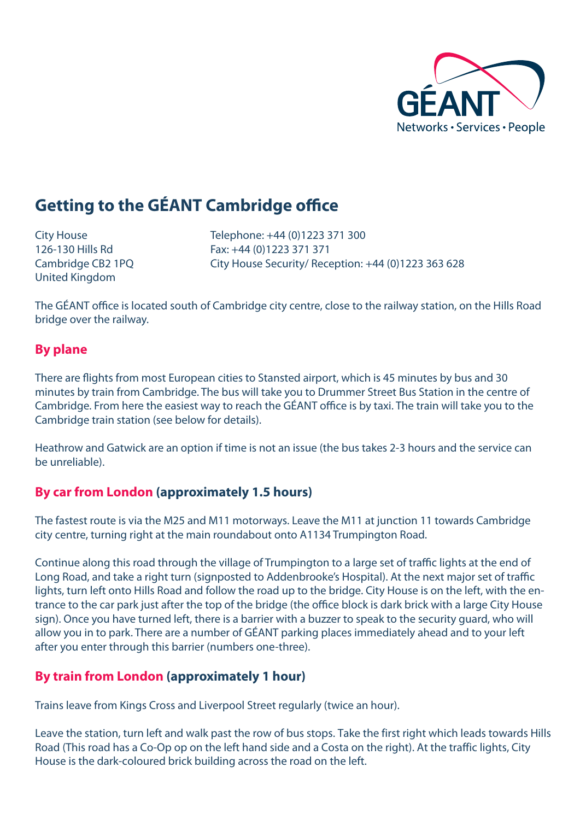

# **Getting to the GÉANT Cambridge office**

United Kingdom

City House Telephone: +44 (0)1223 371 300 126-130 Hills Rd Fax: +44 (0)1223 371 371 Cambridge CB2 1PQ City House Security/ Reception: +44 (0)1223 363 628

The GÉANT office is located south of Cambridge city centre, close to the railway station, on the Hills Road bridge over the railway.

#### **By plane**

There are flights from most European cities to Stansted airport, which is 45 minutes by bus and 30 minutes by train from Cambridge. The bus will take you to Drummer Street Bus Station in the centre of Cambridge. From here the easiest way to reach the GÉANT office is by taxi. The train will take you to the Cambridge train station (see below for details).

Heathrow and Gatwick are an option if time is not an issue (the bus takes 2-3 hours and the service can be unreliable).

### **By car from London (approximately 1.5 hours)**

The fastest route is via the M25 and M11 motorways. Leave the M11 at junction 11 towards Cambridge city centre, turning right at the main roundabout onto A1134 Trumpington Road.

Continue along this road through the village of Trumpington to a large set of traffic lights at the end of Long Road, and take a right turn (signposted to Addenbrooke's Hospital). At the next major set of traffic lights, turn left onto Hills Road and follow the road up to the bridge. City House is on the left, with the entrance to the car park just after the top of the bridge (the office block is dark brick with a large City House sign). Once you have turned left, there is a barrier with a buzzer to speak to the security guard, who will allow you in to park. There are a number of GÉANT parking places immediately ahead and to your left after you enter through this barrier (numbers one-three).

### **By train from London (approximately 1 hour)**

Trains leave from Kings Cross and Liverpool Street regularly (twice an hour).

Leave the station, turn left and walk past the row of bus stops. Take the first right which leads towards Hills Road (This road has a Co-Op op on the left hand side and a Costa on the right). At the traffic lights, City House is the dark-coloured brick building across the road on the left.